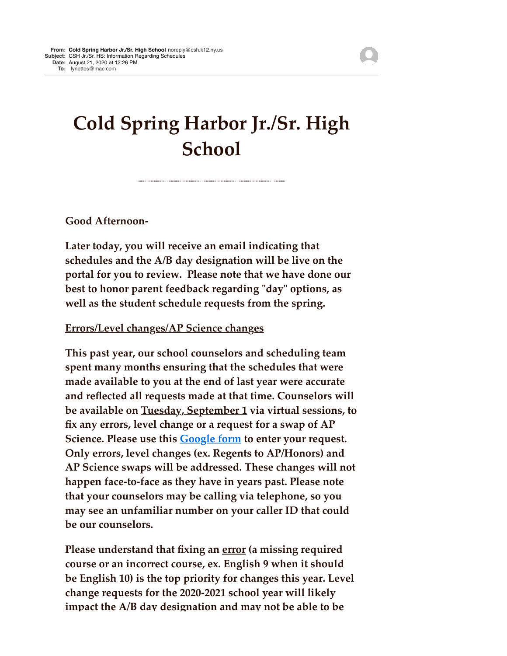## **Cold Spring Harbor Jr./Sr. High School**

**Good Afternoon-**

**Later today, you will receive an email indicating that schedules and the A/B day designation will be live on the portal for you to review. Please note that we have done our best to honor parent feedback regarding "day" options, as well as the student schedule requests from the spring.**

## **Errors/Level changes/AP Science changes**

**This past year, our school counselors and scheduling team spent many months ensuring that the schedules that were made available to you at the end of last year were accurate and reflected all requests made at that time. Counselors will be available on Tuesday, September 1 via virtual sessions, to fix any errors, level change or a request for a swap of AP Science. Please use this [Google form](http://track.spe.schoolmessenger.com/f/a/m5ZUiTiVkbE3Yj3YhzsbVg~~/AAAAAQA~/RgRhISapP0RjaHR0cHM6Ly9kb2NzLmdvb2dsZS5jb20vZm9ybXMvZC9lLzFGQUlwUUxTZWYwSUtjZFVBSWZOQlRWbVFNTndwdXMtd3JsZi1ubXZsQ3dkWm5OMFZzV2dDeTBRL3ZpZXdmb3JtVwdzY2hvb2xtQgoARinzP1_7BRP3UhBseW5ldHRlc0BtYWMuY29tWAQAAAAB) to enter your request. Only errors, level changes (ex. Regents to AP/Honors) and AP Science swaps will be addressed. These changes will not happen face-to-face as they have in years past. Please note that your counselors may be calling via telephone, so you may see an unfamiliar number on your caller ID that could be our counselors.**

**Please understand that fixing an error (a missing required course or an incorrect course, ex. English 9 when it should be English 10) is the top priority for changes this year. Level change requests for the 2020-2021 school year will likely impact the A/B day designation and may not be able to be**